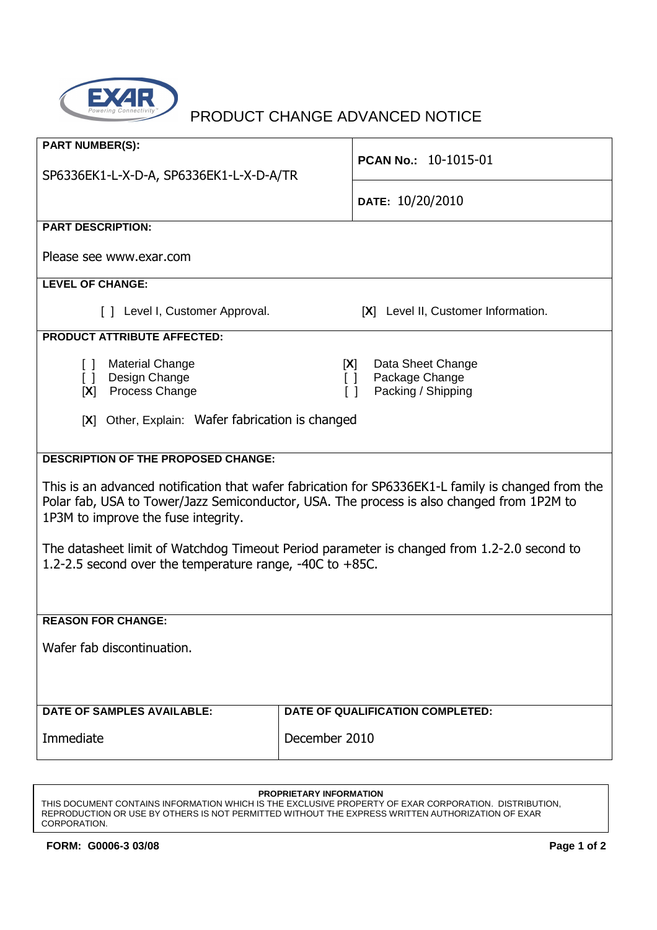

| <b>PART NUMBER(S):</b><br>SP6336EK1-L-X-D-A, SP6336EK1-L-X-D-A/TR                                                                                                                                                                      | PCAN No.: 10-1015-01                    |  |  |
|----------------------------------------------------------------------------------------------------------------------------------------------------------------------------------------------------------------------------------------|-----------------------------------------|--|--|
|                                                                                                                                                                                                                                        | DATE: 10/20/2010                        |  |  |
| <b>PART DESCRIPTION:</b>                                                                                                                                                                                                               |                                         |  |  |
| Please see www.exar.com                                                                                                                                                                                                                |                                         |  |  |
| <b>LEVEL OF CHANGE:</b>                                                                                                                                                                                                                |                                         |  |  |
| [ ] Level I, Customer Approval.                                                                                                                                                                                                        | [X] Level II, Customer Information.     |  |  |
| <b>PRODUCT ATTRIBUTE AFFECTED:</b>                                                                                                                                                                                                     |                                         |  |  |
| <b>Material Change</b><br>Data Sheet Change<br>[X]<br>$\Box$<br>[ ] Design Change<br>Package Change<br>$\Box$<br>[X] Process Change<br>Packing / Shipping<br>$\Box$<br>[X] Other, Explain: Wafer fabrication is changed                |                                         |  |  |
| <b>DESCRIPTION OF THE PROPOSED CHANGE:</b>                                                                                                                                                                                             |                                         |  |  |
| This is an advanced notification that wafer fabrication for SP6336EK1-L family is changed from the<br>Polar fab, USA to Tower/Jazz Semiconductor, USA. The process is also changed from 1P2M to<br>1P3M to improve the fuse integrity. |                                         |  |  |
| The datasheet limit of Watchdog Timeout Period parameter is changed from 1.2-2.0 second to<br>1.2-2.5 second over the temperature range, -40C to +85C.                                                                                 |                                         |  |  |
| <b>REASON FOR CHANGE:</b>                                                                                                                                                                                                              |                                         |  |  |
| Wafer fab discontinuation.                                                                                                                                                                                                             |                                         |  |  |
| <b>DATE OF SAMPLES AVAILABLE:</b>                                                                                                                                                                                                      | <b>DATE OF QUALIFICATION COMPLETED:</b> |  |  |
| Immediate                                                                                                                                                                                                                              | December 2010                           |  |  |

## **PROPRIETARY INFORMATION**

THIS DOCUMENT CONTAINS INFORMATION WHICH IS THE EXCLUSIVE PROPERTY OF EXAR CORPORATION. DISTRIBUTION, REPRODUCTION OR USE BY OTHERS IS NOT PERMITTED WITHOUT THE EXPRESS WRITTEN AUTHORIZATION OF EXAR CORPORATION.